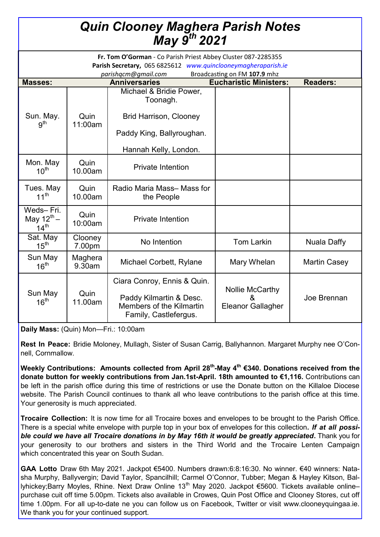| <b>Quin Clooney Maghera Parish Notes</b><br>May 9th 2021 |                   |                                                                                                                                                       |                                                  |                     |
|----------------------------------------------------------|-------------------|-------------------------------------------------------------------------------------------------------------------------------------------------------|--------------------------------------------------|---------------------|
|                                                          |                   | Fr. Tom O'Gorman - Co Parish Priest Abbey Cluster 087-2285355<br>Parish Secretary, 065 6825612 www.quinclooneymagheraparish.ie<br>parishqcm@gmail.com | Broadcasting on FM 107.9 mhz                     |                     |
| <b>Masses:</b>                                           |                   | <b>Anniversaries</b>                                                                                                                                  | <b>Eucharistic Ministers:</b>                    | <b>Readers:</b>     |
| Sun. May.<br>9 <sup>th</sup>                             | Quin<br>11:00am   | Michael & Bridie Power,<br>Toonagh.                                                                                                                   |                                                  |                     |
|                                                          |                   | <b>Brid Harrison, Clooney</b><br>Paddy King, Ballyroughan.                                                                                            |                                                  |                     |
|                                                          |                   | Hannah Kelly, London.                                                                                                                                 |                                                  |                     |
| Mon. May<br>$10^{\text{th}}$                             | Quin<br>10.00am   | <b>Private Intention</b>                                                                                                                              |                                                  |                     |
| Tues. May<br>$11^{th}$                                   | Quin<br>10.00am   | Radio Maria Mass- Mass for<br>the People                                                                                                              |                                                  |                     |
| Weds-Fri.<br>May $12^{\text{th}}$ –<br>$14^{\text{th}}$  | Quin<br>10:00am   | <b>Private Intention</b>                                                                                                                              |                                                  |                     |
| Sat. May<br>$15^{\text{th}}$                             | Clooney<br>7.00pm | No Intention                                                                                                                                          | <b>Tom Larkin</b>                                | Nuala Daffy         |
| Sun May<br>16 <sup>th</sup>                              | Maghera<br>9.30am | Michael Corbett, Rylane                                                                                                                               | Mary Whelan                                      | <b>Martin Casey</b> |
| Sun May<br>16 <sup>th</sup>                              | Quin<br>11.00am   | Ciara Conroy, Ennis & Quin.<br>Paddy Kilmartin & Desc.<br><b>Members of the Kilmartin</b>                                                             | Nollie McCarthy<br>&<br><b>Eleanor Gallagher</b> | Joe Brennan         |

**Daily Mass:** (Quin) Mon—Fri.: 10:00am

**Rest In Peace:** Bridie Moloney, Mullagh, Sister of Susan Carrig, Ballyhannon. Margaret Murphy nee O'Connell, Cornmallow.

Family, Castlefergus.

**Weekly Contributions: Amounts collected from April 28th -May 4th €340. Donations received from the donate button for weekly contributions from Jan.1st-April. 18th amounted to €1,116.** Contributions can be left in the parish office during this time of restrictions or use the Donate button on the Killaloe Diocese website. The Parish Council continues to thank all who leave contributions to the parish office at this time. Your generosity is much appreciated.

**Trocaire Collection:** It is now time for all Trocaire boxes and envelopes to be brought to the Parish Office. There is a special white envelope with purple top in your box of envelopes for this collection**.** *If at all possible could we have all Trocaire donations in by May 16th it would be greatly appreciated***.** Thank you for your generosity to our brothers and sisters in the Third World and the Trocaire Lenten Campaign which concentrated this year on South Sudan.

**GAA Lotto** Draw 6th May 2021. Jackpot €5400. Numbers drawn:6:8:16:30. No winner. €40 winners: Natasha Murphy, Ballyvergin; David Taylor, Spancilhill; Carmel O'Connor, Tubber; Megan & Hayley Kitson, Ballyhickey;Barry Moyles, Rhine. Next Draw Online 13th May 2020. Jackpot €5600. Tickets available online– purchase cuit off time 5.00pm. Tickets also available in Crowes, Quin Post Office and Clooney Stores, cut off time 1.00pm. For all up-to-date ne you can follow us on Facebook, Twitter or visit www.clooneyquingaa.ie. We thank you for your continued support.